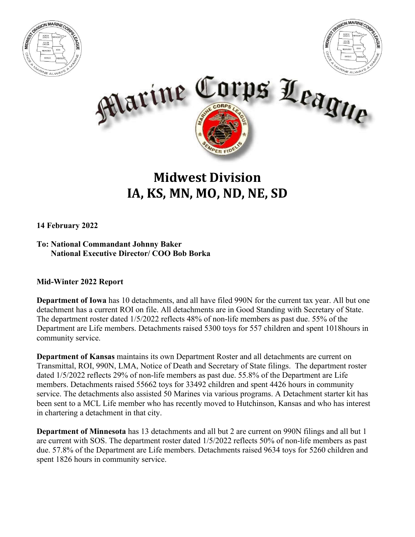





## **Midwest Division IA, KS, MN, MO, ND, NE, SD**

**14 February 2022**

**To: National Commandant Johnny Baker National Executive Director/ COO Bob Borka**

## **Mid-Winter 2022 Report**

**Department of Iowa** has 10 detachments, and all have filed 990N for the current tax year. All but one detachment has a current ROI on file. All detachments are in Good Standing with Secretary of State. The department roster dated 1/5/2022 reflects 48% of non-life members as past due. 55% of the Department are Life members. Detachments raised 5300 toys for 557 children and spent 1018hours in community service.

**Department of Kansas** maintains its own Department Roster and all detachments are current on Transmittal, ROI, 990N, LMA, Notice of Death and Secretary of State filings. The department roster dated 1/5/2022 reflects 29% of non-life members as past due. 55.8% of the Department are Life members. Detachments raised 55662 toys for 33492 children and spent 4426 hours in community service. The detachments also assisted 50 Marines via various programs. A Detachment starter kit has been sent to a MCL Life member who has recently moved to Hutchinson, Kansas and who has interest in chartering a detachment in that city.

**Department of Minnesota** has 13 detachments and all but 2 are current on 990N filings and all but 1 are current with SOS. The department roster dated 1/5/2022 reflects 50% of non-life members as past due. 57.8% of the Department are Life members. Detachments raised 9634 toys for 5260 children and spent 1826 hours in community service.